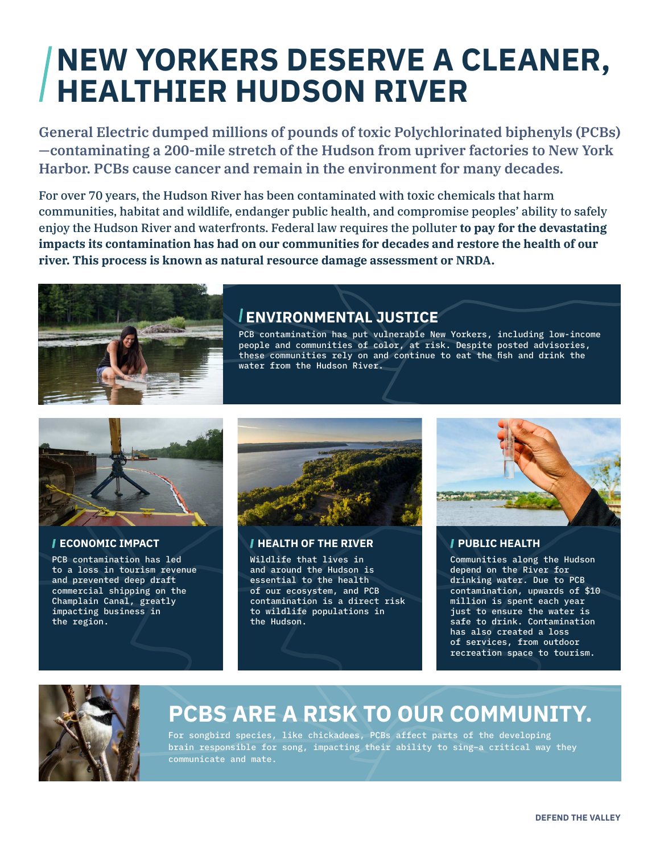# **NEW YORKERS DESERVE A CLEANER, HEALTHIER HUDSON RIVER**

**General Electric dumped millions of pounds of toxic Polychlorinated biphenyls (PCBs) —contaminating a 200-mile stretch of the Hudson from upriver factories to New York Harbor. PCBs cause cancer and remain in the environment for many decades.**

For over 70 years, the Hudson River has been contaminated with toxic chemicals that harm communities, habitat and wildlife, endanger public health, and compromise peoples' ability to safely enjoy the Hudson River and waterfronts. Federal law requires the polluter **to pay for the devastating impacts its contamination has had on our communities for decades and restore the health of our river. This process is known as natural resource damage assessment or NRDA.**



### **ENVIRONMENTAL JUSTICE**

PCB contamination has put vulnerable New Yorkers, including low-income people and communities of color, at risk. Despite posted advisories, these communities rely on and continue to eat the fish and drink the water from the Hudson River.



#### **ECONOMIC IMPACT**

PCB contamination has led to a loss in tourism revenue and prevented deep draft commercial shipping on the Champlain Canal, greatly impacting business in the region.



#### **HEALTH OF THE RIVER**

Wildlife that lives in and around the Hudson is essential to the health of our ecosystem, and PCB contamination is a direct risk to wildlife populations in the Hudson.



#### **PUBLIC HEALTH**

Communities along the Hudson depend on the River for drinking water. Due to PCB contamination, upwards of \$10 million is spent each year just to ensure the water is safe to drink. Contamination has also created a loss of services, from outdoor recreation space to tourism.



## **PCBS ARE A RISK TO OUR COMMUNITY.**

For songbird species, like chickadees, PCBs affect parts of the developing brain responsible for song, impacting their ability to sing–a critical way they communicate and mate.